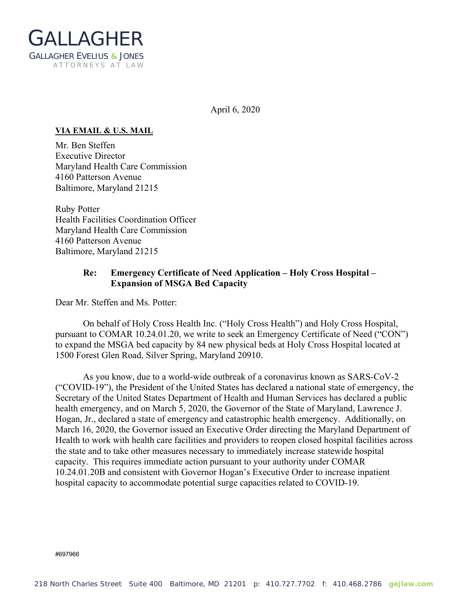

April 6, 2020

## **VIA EMAIL & U.S. MAIL**

Mr. Ben Steffen Executive Director Maryland Health Care Commission 4160 Patterson Avenue Baltimore, Maryland 21215

Ruby Potter Health Facilities Coordination Officer Maryland Health Care Commission 4160 Patterson Avenue Baltimore, Maryland 21215

## **Re: Emergency Certificate of Need Application – Holy Cross Hospital – Expansion of MSGA Bed Capacity**

Dear Mr. Steffen and Ms. Potter:

On behalf of Holy Cross Health Inc. ("Holy Cross Health") and Holy Cross Hospital, pursuant to COMAR 10.24.01.20, we write to seek an Emergency Certificate of Need ("CON") to expand the MSGA bed capacity by 84 new physical beds at Holy Cross Hospital located at 1500 Forest Glen Road, Silver Spring, Maryland 20910.

As you know, due to a world-wide outbreak of a coronavirus known as SARS-CoV-2 ("COVID-19"), the President of the United States has declared a national state of emergency, the Secretary of the United States Department of Health and Human Services has declared a public health emergency, and on March 5, 2020, the Governor of the State of Maryland, Lawrence J. Hogan, Jr., declared a state of emergency and catastrophic health emergency. Additionally, on March 16, 2020, the Governor issued an Executive Order directing the Maryland Department of Health to work with health care facilities and providers to reopen closed hospital facilities across the state and to take other measures necessary to immediately increase statewide hospital capacity. This requires immediate action pursuant to your authority under COMAR 10.24.01.20B and consistent with Governor Hogan's Executive Order to increase inpatient hospital capacity to accommodate potential surge capacities related to COVID-19.

#697966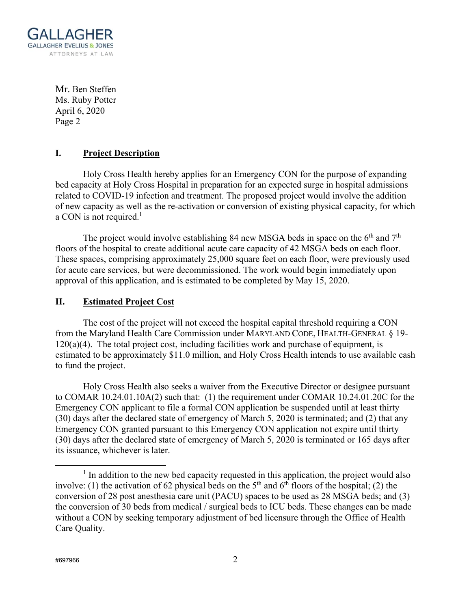

Mr. Ben Steffen Ms. Ruby Potter April 6, 2020 Page 2

## **I. Project Description**

Holy Cross Health hereby applies for an Emergency CON for the purpose of expanding bed capacity at Holy Cross Hospital in preparation for an expected surge in hospital admissions related to COVID-19 infection and treatment. The proposed project would involve the addition of new capacity as well as the re-activation or conversion of existing physical capacity, for which a CON is not required. $<sup>1</sup>$ </sup>

The project would involve establishing 84 new MSGA beds in space on the  $6<sup>th</sup>$  and  $7<sup>th</sup>$ floors of the hospital to create additional acute care capacity of 42 MSGA beds on each floor. These spaces, comprising approximately 25,000 square feet on each floor, were previously used for acute care services, but were decommissioned. The work would begin immediately upon approval of this application, and is estimated to be completed by May 15, 2020.

## **II. Estimated Project Cost**

The cost of the project will not exceed the hospital capital threshold requiring a CON from the Maryland Health Care Commission under MARYLAND CODE, HEALTH-GENERAL § 19-  $120(a)(4)$ . The total project cost, including facilities work and purchase of equipment, is estimated to be approximately \$11.0 million, and Holy Cross Health intends to use available cash to fund the project.

 Holy Cross Health also seeks a waiver from the Executive Director or designee pursuant to COMAR 10.24.01.10A(2) such that: (1) the requirement under COMAR 10.24.01.20C for the Emergency CON applicant to file a formal CON application be suspended until at least thirty (30) days after the declared state of emergency of March 5, 2020 is terminated; and (2) that any Emergency CON granted pursuant to this Emergency CON application not expire until thirty (30) days after the declared state of emergency of March 5, 2020 is terminated or 165 days after its issuance, whichever is later.

 $\frac{1}{1}$  $<sup>1</sup>$  In addition to the new bed capacity requested in this application, the project would also</sup> involve: (1) the activation of 62 physical beds on the  $5<sup>th</sup>$  and  $6<sup>th</sup>$  floors of the hospital; (2) the conversion of 28 post anesthesia care unit (PACU) spaces to be used as 28 MSGA beds; and (3) the conversion of 30 beds from medical / surgical beds to ICU beds. These changes can be made without a CON by seeking temporary adjustment of bed licensure through the Office of Health Care Quality.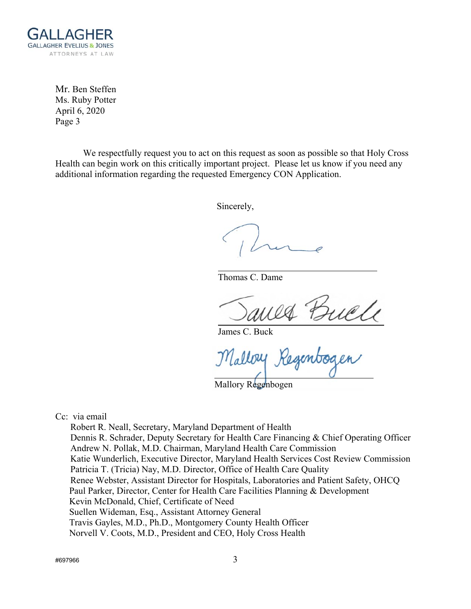

Mr. Ben Steffen Ms. Ruby Potter April 6, 2020 Page 3

We respectfully request you to act on this request as soon as possible so that Holy Cross Health can begin work on this critically important project. Please let us know if you need any additional information regarding the requested Emergency CON Application.

Sincerely,

Thomas C. Dame

ed Buch<br>Regenbogen

James C. Buck

Malloy.

Mallory Regenbogen

Cc: via email

 Robert R. Neall, Secretary, Maryland Department of Health Dennis R. Schrader, Deputy Secretary for Health Care Financing & Chief Operating Officer Andrew N. Pollak, M.D. Chairman, Maryland Health Care Commission Katie Wunderlich, Executive Director, Maryland Health Services Cost Review Commission Patricia T. (Tricia) Nay, M.D. Director, Office of Health Care Quality Renee Webster, Assistant Director for Hospitals, Laboratories and Patient Safety, OHCQ Paul Parker, Director, Center for Health Care Facilities Planning & Development Kevin McDonald, Chief, Certificate of Need Suellen Wideman, Esq., Assistant Attorney General Travis Gayles, M.D., Ph.D., Montgomery County Health Officer Norvell V. Coots, M.D., President and CEO, Holy Cross Health